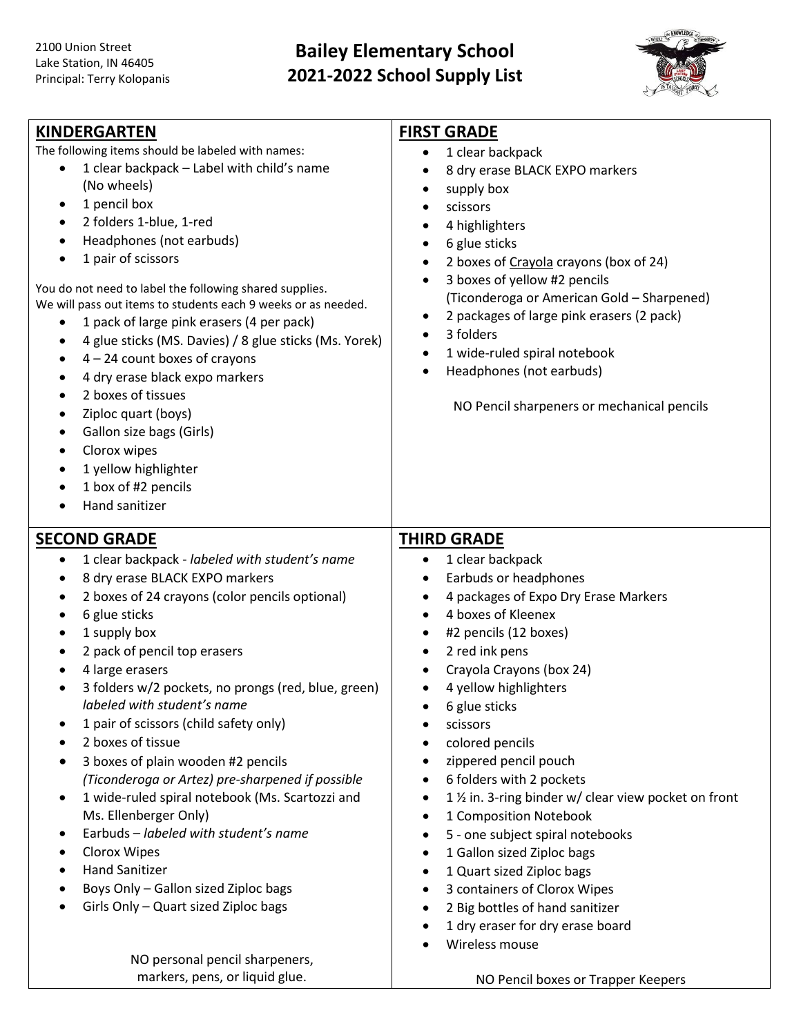## **Bailey Elementary School 2021-2022 School Supply List**



| <b>KINDERGARTEN</b>                                                                                                                                                                                                                                                                                                                                                                                                                                                                                                                                                                                                                                                                                                                                                        | <b>FIRST GRADE</b>                                                                                                                                                                                                                                                                                                                                                                                                                                                                                                                                                                                                                                                                                                           |
|----------------------------------------------------------------------------------------------------------------------------------------------------------------------------------------------------------------------------------------------------------------------------------------------------------------------------------------------------------------------------------------------------------------------------------------------------------------------------------------------------------------------------------------------------------------------------------------------------------------------------------------------------------------------------------------------------------------------------------------------------------------------------|------------------------------------------------------------------------------------------------------------------------------------------------------------------------------------------------------------------------------------------------------------------------------------------------------------------------------------------------------------------------------------------------------------------------------------------------------------------------------------------------------------------------------------------------------------------------------------------------------------------------------------------------------------------------------------------------------------------------------|
| The following items should be labeled with names:<br>1 clear backpack - Label with child's name<br>(No wheels)<br>1 pencil box<br>٠<br>2 folders 1-blue, 1-red<br>$\bullet$<br>Headphones (not earbuds)<br>1 pair of scissors<br>You do not need to label the following shared supplies.<br>We will pass out items to students each 9 weeks or as needed.<br>1 pack of large pink erasers (4 per pack)<br>4 glue sticks (MS. Davies) / 8 glue sticks (Ms. Yorek)<br>$\bullet$<br>$4 - 24$ count boxes of crayons<br>$\bullet$<br>4 dry erase black expo markers<br>2 boxes of tissues<br>Ziploc quart (boys)<br>٠<br>Gallon size bags (Girls)<br>$\bullet$<br>Clorox wipes<br>$\bullet$<br>1 yellow highlighter<br>٠<br>1 box of #2 pencils<br>$\bullet$<br>Hand sanitizer | 1 clear backpack<br>$\bullet$<br>8 dry erase BLACK EXPO markers<br>$\bullet$<br>supply box<br>٠<br>scissors<br>4 highlighters<br>6 glue sticks<br>$\bullet$<br>2 boxes of Crayola crayons (box of 24)<br>$\bullet$<br>3 boxes of yellow #2 pencils<br>$\bullet$<br>(Ticonderoga or American Gold - Sharpened)<br>2 packages of large pink erasers (2 pack)<br>$\bullet$<br>3 folders<br>$\bullet$<br>1 wide-ruled spiral notebook<br>$\bullet$<br>Headphones (not earbuds)<br>$\bullet$<br>NO Pencil sharpeners or mechanical pencils                                                                                                                                                                                        |
| <b>SECOND GRADE</b><br>1 clear backpack - labeled with student's name<br>$\bullet$<br>8 dry erase BLACK EXPO markers<br>٠<br>2 boxes of 24 crayons (color pencils optional)<br>٠<br>6 glue sticks<br>1 supply box                                                                                                                                                                                                                                                                                                                                                                                                                                                                                                                                                          | <b>THIRD GRADE</b><br>1 clear backpack<br>$\bullet$<br>Earbuds or headphones<br>$\bullet$<br>4 packages of Expo Dry Erase Markers<br>$\bullet$<br>4 boxes of Kleenex<br>$\bullet$                                                                                                                                                                                                                                                                                                                                                                                                                                                                                                                                            |
| 2 pack of pencil top erasers<br>$\bullet$<br>4 large erasers<br>$\bullet$<br>3 folders w/2 pockets, no prongs (red, blue, green)<br>labeled with student's name<br>1 pair of scissors (child safety only)<br>٠<br>2 boxes of tissue<br>3 boxes of plain wooden #2 pencils<br>(Ticonderoga or Artez) pre-sharpened if possible<br>1 wide-ruled spiral notebook (Ms. Scartozzi and<br>$\bullet$<br>Ms. Ellenberger Only)<br>Earbuds - labeled with student's name<br>$\bullet$<br>Clorox Wipes<br>$\bullet$<br><b>Hand Sanitizer</b><br>Boys Only - Gallon sized Ziploc bags<br>Girls Only - Quart sized Ziploc bags<br>NO personal pencil sharpeners,                                                                                                                       | #2 pencils (12 boxes)<br>$\bullet$<br>2 red ink pens<br>$\bullet$<br>Crayola Crayons (box 24)<br>$\bullet$<br>4 yellow highlighters<br>$\bullet$<br>6 glue sticks<br>$\bullet$<br>scissors<br>colored pencils<br>zippered pencil pouch<br>$\bullet$<br>6 folders with 2 pockets<br>$\bullet$<br>1 1/2 in. 3-ring binder w/ clear view pocket on front<br>$\bullet$<br>1 Composition Notebook<br>$\bullet$<br>5 - one subject spiral notebooks<br>$\bullet$<br>1 Gallon sized Ziploc bags<br>$\bullet$<br>1 Quart sized Ziploc bags<br>$\bullet$<br>3 containers of Clorox Wipes<br>$\bullet$<br>2 Big bottles of hand sanitizer<br>$\bullet$<br>1 dry eraser for dry erase board<br>$\bullet$<br>Wireless mouse<br>$\bullet$ |